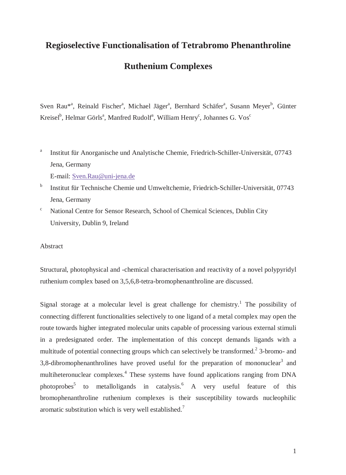# **Regioselective Functionalisation of Tetrabromo Phenanthroline Ruthenium Complexes**

Sven Rau<sup>\*a</sup>, Reinald Fischer<sup>a</sup>, Michael Jäger<sup>a</sup>, Bernhard Schäfer<sup>a</sup>, Susann Meyer<sup>b</sup>, Günter Kreisel<sup>b</sup>, Helmar Görls<sup>a</sup>, Manfred Rudolf<sup>a</sup>, William Henry<sup>c</sup>, Johannes G. Vos<sup>c</sup>

a Institut für Anorganische und Analytische Chemie, Friedrich-Schiller-Universität, 07743 Jena, Germany

E-mail: Sven.Rau@uni-jena.de

- <sup>b</sup> Institut für Technische Chemie und Umweltchemie, Friedrich-Schiller-Universität, 07743 Jena, Germany
- $\rm c$  National Centre for Sensor Research, School of Chemical Sciences, Dublin City University, Dublin 9, Ireland

Abstract

Structural, photophysical and -chemical characterisation and reactivity of a novel polypyridyl ruthenium complex based on 3,5,6,8-tetra-bromophenanthroline are discussed.

Signal storage at a molecular level is great challenge for chemistry.<sup>1</sup> The possibility of connecting different functionalities selectively to one ligand of a metal complex may open the route towards higher integrated molecular units capable of processing various external stimuli in a predesignated order. The implementation of this concept demands ligands with a multitude of potential connecting groups which can selectively be transformed.<sup>2</sup> 3-bromo- and 3,8-dibromophenanthrolines have proved useful for the preparation of mononuclear<sup>3</sup> and multiheteronuclear complexes.<sup>4</sup> These systems have found applications ranging from DNA photoprobes<sup>5</sup> to metalloligands in catalysis.<sup>6</sup> A very useful feature of this bromophenanthroline ruthenium complexes is their susceptibility towards nucleophilic aromatic substitution which is very well established.<sup>7</sup>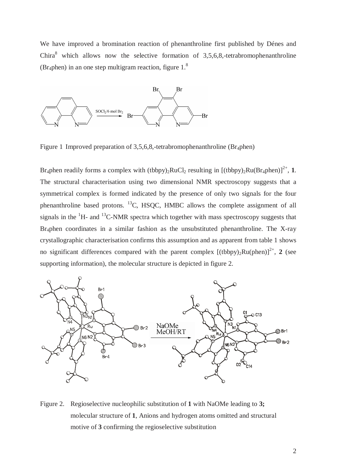We have improved a bromination reaction of phenanthroline first published by Dénes and Chira<sup>8</sup> which allows now the selective formation of  $3,5,6,8$ ,-tetrabromophenanthroline (Br<sub>4</sub>phen) in an one step multigram reaction, figure  $1<sup>8</sup>$ 



Figure 1 Improved preparation of 3,5,6,8,-tetrabromophenanthroline (Br<sub>4</sub>phen)

Br<sub>4</sub>phen readily forms a complex with (tbbpy)<sub>2</sub>RuCl<sub>2</sub> resulting in  $[(tbbpy)_2Ru(Br_4phen)]^{2+}$ , **1**. The structural characterisation using two dimensional NMR spectroscopy suggests that a symmetrical complex is formed indicated by the presence of only two signals for the four phenanthroline based protons. 13C, HSQC, HMBC allows the complete assignment of all signals in the  ${}^{1}$ H- and  ${}^{13}$ C-NMR spectra which together with mass spectroscopy suggests that Br4phen coordinates in a similar fashion as the unsubstituted phenanthroline. The X-ray crystallographic characterisation confirms this assumption and as apparent from table 1 shows no significant differences compared with the parent complex  $[(tbbpy)_2Ru(phen)]^{2+}$ , 2 (see supporting information), the molecular structure is depicted in figure 2.



Figure 2. Regioselective nucleophilic substitution of **1** with NaOMe leading to **3;** molecular structure of **1**, Anions and hydrogen atoms omitted and structural motive of **3** confirming the regioselective substitution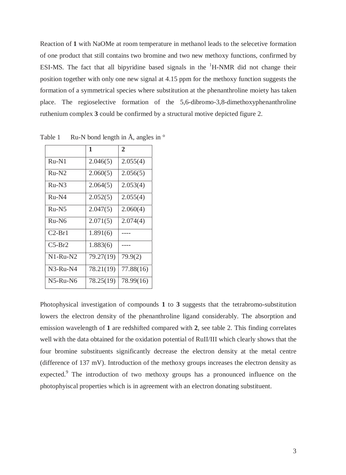Reaction of **1** with NaOMe at room temperature in methanol leads to the selecetive formation of one product that still contains two bromine and two new methoxy functions, confirmed by ESI-MS. The fact that all bipyridine based signals in the  ${}^{1}H$ -NMR did not change their position together with only one new signal at 4.15 ppm for the methoxy function suggests the formation of a symmetrical species where substitution at the phenanthroline moiety has taken place. The regioselective formation of the 5,6-dibromo-3,8-dimethoxyphenanthroline ruthenium complex **3** could be confirmed by a structural motive depicted figure 2.

|            | 1         | $\overline{2}$ |
|------------|-----------|----------------|
| $Ru-N1$    | 2.046(5)  | 2.055(4)       |
| $Ru-N2$    | 2.060(5)  | 2.056(5)       |
| $Ru-N3$    | 2.064(5)  | 2.053(4)       |
| $Ru-M4$    | 2.052(5)  | 2.055(4)       |
| $Ru-N5$    | 2.047(5)  | 2.060(4)       |
| $Ru-N6$    | 2.071(5)  | 2.074(4)       |
| $C2-Br1$   | 1.891(6)  |                |
| $C5-Br2$   | 1.883(6)  |                |
| $N1-Ru-N2$ | 79.27(19) | 79.9(2)        |
| $N3-Ru-N4$ | 78.21(19) | 77.88(16)      |
| $N5-Ru-N6$ | 78.25(19) | 78.99(16)      |

Table 1 Ru-N bond length in  $\AA$ , angles in  $\degree$ 

Photophysical investigation of compounds **1** to **3** suggests that the tetrabromo-substitution lowers the electron density of the phenanthroline ligand considerably. The absorption and emission wavelength of **1** are redshifted compared with **2**, see table 2. This finding correlates well with the data obtained for the oxidation potential of RuII/III which clearly shows that the four bromine substituents significantly decrease the electron density at the metal centre (difference of 137 mV). Introduction of the methoxy groups increases the electron density as expected.<sup>9</sup> The introduction of two methoxy groups has a pronounced influence on the photophyiscal properties which is in agreement with an electron donating substituent.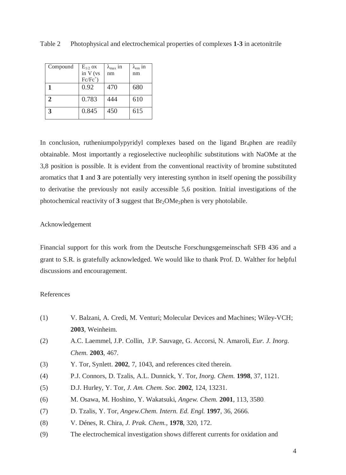| Compound | $E_{1/2}$ ox | $\lambda_{\text{max}}$ 11 | $\lambda_{\rm em}$ in |
|----------|--------------|---------------------------|-----------------------|
|          | in V (vs     | nm                        | nm                    |
|          | $Fc/Fc^+)$   |                           |                       |
|          | 0.92         | 470                       | 680                   |
| 2        | 0.783        | 444                       | 610                   |
| 3        | 0.845        | 450                       | 615                   |

Table 2 Photophysical and electrochemical properties of complexes **1-3** in acetonitrile

In conclusion, rutheniumpolypyridyl complexes based on the ligand  $Br_4$ phen are readily obtainable. Most importantly a regioselective nucleophilic substitutions with NaOMe at the 3,8 position is possible. It is evident from the conventional reactivity of bromine substituted aromatics that **1** and **3** are potentially very interesting synthon in itself opening the possibility to derivatise the previously not easily accessible 5,6 position. Initial investigations of the photochemical reactivity of  $3$  suggest that  $Br_2OMe_2$  phen is very photolabile.

### Acknowledgement

Financial support for this work from the Deutsche Forschungsgemeinschaft SFB 436 and a grant to S.R. is gratefully acknowledged. We would like to thank Prof. D. Walther for helpful discussions and encouragement.

#### References

- (1) V. Balzani, A. Credi, M. Venturi; Molecular Devices and Machines; Wiley-VCH; **2003**, Weinheim.
- (2) A.C. Laemmel, J.P. Collin, J.P. Sauvage, G. Accorsi, N. Amaroli, *Eur. J. Inorg. Chem.* **2003**, 467.
- (3) Y. Tor, Synlett. **2002**, 7, 1043, and references cited therein.
- (4) P.J. Connors, D. Tzalis, A.L. Dunnick, Y. Tor, *Inorg. Chem.* **1998**, 37, 1121.
- (5) D.J. Hurley, Y. Tor, *J. Am. Chem. Soc.* **2002**, 124, 13231.
- (6) M. Osawa, M. Hoshino, Y. Wakatsuki, *Angew. Chem.* **2001**, 113, 3580.
- (7) D. Tzalis, Y. Tor, *Angew.Chem. Intern. Ed. Engl.* **1997**, 36, 2666.
- (8) V. Dénes, R. Chira, *J. Prak. Chem.*, **1978**, 320, 172.
- (9) The electrochemical investigation shows different currents for oxidation and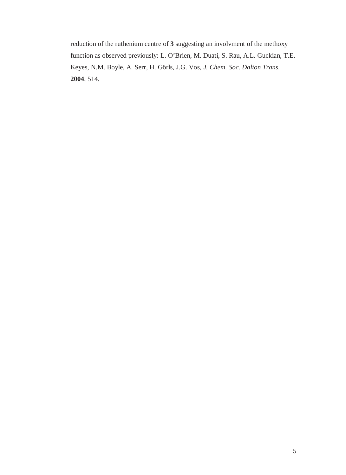reduction of the ruthenium centre of **3** suggesting an involvment of the methoxy function as observed previously: L. O'Brien, M. Duati, S. Rau, A.L. Guckian, T.E. Keyes, N.M. Boyle, A. Serr, H. Görls, J.G. Vos, *J. Chem. Soc. Dalton Trans.* **2004**, 514.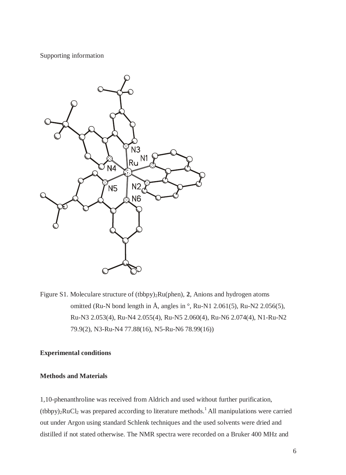Supporting information



Figure S1. Moleculare structure of (tbbpy)<sub>2</sub>Ru(phen), 2, Anions and hydrogen atoms omitted (Ru-N bond length in  $\AA$ , angles in  $\degree$ , Ru-N1 2.061(5), Ru-N2 2.056(5), Ru-N3 2.053(4), Ru-N4 2.055(4), Ru-N5 2.060(4), Ru-N6 2.074(4), N1-Ru-N2 79.9(2), N3-Ru-N4 77.88(16), N5-Ru-N6 78.99(16))

#### **Experimental conditions**

#### **Methods and Materials**

1,10-phenanthroline was received from Aldrich and used without further purification,  $(tbbpy)_2RuCl_2$  was prepared according to literature methods.<sup>1</sup> All manipulations were carried out under Argon using standard Schlenk techniques and the used solvents were dried and distilled if not stated otherwise. The NMR spectra were recorded on a Bruker 400 MHz and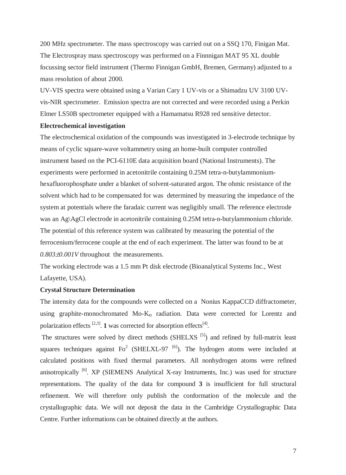200 MHz spectrometer. The mass spectroscopy was carried out on a SSQ 170, Finigan Mat. The Electrospray mass spectroscopy was performed on a Finnnigan MAT 95 XL double focussing sector field instrument (Thermo Finnigan GmbH, Bremen, Germany) adjusted to a mass resolution of about 2000.

UV-VIS spectra were obtained using a Varian Cary 1 UV-vis or a Shimadzu UV 3100 UVvis-NIR spectrometer. Emission spectra are not corrected and were recorded using a Perkin Elmer LS50B spectrometer equipped with a Hamamatsu R928 red sensitive detector.

#### **Electrochemical investigation**

The electrochemical oxidation of the compounds was investigated in 3-electrode technique by means of cyclic square-wave voltammetry using an home-built computer controlled instrument based on the PCI-6110E data acquisition board (National Instruments). The experiments were performed in acetonitrile containing 0.25M tetra-n-butylammoniumhexafluorophosphate under a blanket of solvent-saturated argon. The ohmic resistance of the solvent which had to be compensated for was determined by measuring the impedance of the system at potentials where the faradaic current was negligibly small. The reference electrode was an Ag\AgCl electrode in acetonitrile containing 0.25M tetra-n-butylammonium chloride. The potential of this reference system was calibrated by measuring the potential of the ferrocenium/ferrocene couple at the end of each experiment. The latter was found to be at *0.803*±*0.001V* throughout the measurements.

The working electrode was a 1.5 mm Pt disk electrode (Bioanalytical Systems Inc., West Lafayette, USA).

#### **Crystal Structure Determination**

The intensity data for the compounds were collected on a Nonius KappaCCD diffractometer, using graphite-monochromated Mo- $K_{\alpha}$  radiation. Data were corrected for Lorentz and polarization effects<sup>[2,3]</sup>. **1** was corrected for absorption effects<sup>[4]</sup>.

The structures were solved by direct methods (SHELXS<sup>[5]</sup>) and refined by full-matrix least squares techniques against  $Fo^2$  (SHELXL-97<sup>[6]</sup>). The hydrogen atoms were included at calculated positions with fixed thermal parameters. All nonhydrogen atoms were refined anisotropically  $[6]$ . XP (SIEMENS Analytical X-ray Instruments, Inc.) was used for structure representations. The quality of the data for compound **3** is insufficient for full structural refinement. We will therefore only publish the conformation of the molecule and the crystallographic data. We will not deposit the data in the Cambridge Crystallographic Data Centre. Further informations can be obtained directly at the authors.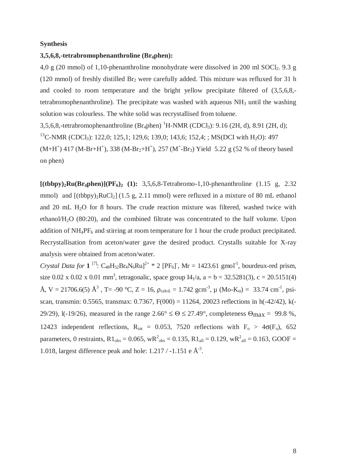#### **Synthesis**

#### **3,5,6,8,-tetrabromophenanthroline (Br4phen):**

4,0 g (20 mmol) of 1,10-phenanthroline monohydrate were dissolved in 200 ml SOCl<sub>2</sub>. 9.3 g (120 mmol) of freshly distilled  $Br_2$  were carefully added. This mixture was refluxed for 31 h and cooled to room temperature and the bright yellow precipitate filtered of (3,5,6,8, tetrabromophenanthroline). The precipitate was washed with aqueous  $NH_3$  until the washing solution was colourless. The white solid was recrystallised from toluene.

3,5,6,8,-tetrabromophenanthroline  $(Br_4phen)^{1}H-NMR (CDCl_3)$ : 9.16 (2H, d), 8.91 (2H, d); <sup>13</sup>C-NMR (CDCl<sub>3</sub>): 122,0; 125,1; 129,6; 139,0; 143,6; 152,4; ; MS(DCI with H<sub>2</sub>O): 497  $(M+H<sup>+</sup>)$  417 (M-Br+H<sup>+</sup>), 338 (M-Br<sub>2</sub>+H<sup>+</sup>), 257 (M<sup>+</sup>-Br<sub>3</sub>) Yield 5.22 g (52 % of theory based

on phen)

 $[(tbbpy)_2Ru(Br_4phen)](PF_6)_2$  (1): 3,5,6,8-Tetrabromo-1,10-phenanthroline (1.15 g, 2.32) mmol) and  $[(tbbpy)_2RuCl_2]$  (1.5 g, 2.11 mmol) were refluxed in a mixture of 80 mL ethanol and 20 mL H<sub>2</sub>O for 8 hours. The crude reaction mixture was filtered, washed twice with ethanol/ $H_2O$  (80:20), and the combined filtrate was concentrated to the half volume. Upon addition of  $NH_4PF_6$  and stirring at room temperature for 1 hour the crude product precipitated. Recrystallisation from aceton/water gave the desired product. Crystalls suitable for X-ray analysis were obtained from aceton/water.

*Crystal Data for* **1**<sup>[7]</sup>:  $C_{48}H_{52}Br_4N_6Ru$ <sup>2+</sup> \* 2 [PF<sub>6</sub>], Mr = 1423.61 gmol<sup>-1</sup>, bourdeux-red prism, size 0.02 x 0.02 x 0.01 mm<sup>3</sup>, tetragonalic, space group  $I4_1/a$ ,  $a = b = 32.5281(3)$ ,  $c = 20.5151(4)$ Å, V = 21706.6(5) Å<sup>3</sup>, T = -90 °C, Z = 16, ρ<sub>calcd.</sub> = 1.742 gcm<sup>-3</sup>, μ (Mo-K<sub>α</sub>) = 33.74 cm<sup>-1</sup>, psiscan, transmin: 0.5565, transmax: 0.7367, F(000) = 11264, 20023 reflections in h(-42/42), k(- 29/29), l(-19/26), measured in the range  $2.66^{\circ} \le \Theta \le 27.49^{\circ}$ , completeness  $\Theta_{\text{max}} = 99.8$ %, 12423 independent reflections,  $R_{int} = 0.053$ , 7520 reflections with  $F_0 > 4\sigma(F_0)$ , 652 parameters, 0 restraints,  $R1_{obs} = 0.065$ ,  $wR^2_{obs} = 0.135$ ,  $R1_{all} = 0.129$ ,  $wR^2_{all} = 0.163$ , GOOF = 1.018, largest difference peak and hole:  $1.217 / -1.151$  e  $\AA$ <sup>3</sup>.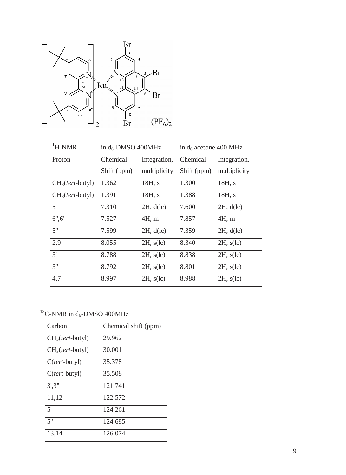

| <sup>1</sup> H-NMR | in $d_6$ -DMSO 400MHz |                 | in $d_6$ acetone 400 MHz |                 |
|--------------------|-----------------------|-----------------|--------------------------|-----------------|
| Proton             | Chemical              | Integration,    | Chemical                 | Integration,    |
|                    | Shift (ppm)           | multiplicity    | Shift (ppm)              | multiplicity    |
| $CH3(tert-butyl)$  | 1.362                 | 18H, s          | 1.300                    | 18H, s          |
| $CH3(tert-butyl)$  | 1.391                 | 18H, s          | 1.388                    | 18H, s          |
| 5'                 | 7.310                 | 2H, d(lc)       | 7.600                    | 2H, d(lc)       |
| 6", 6"             | 7.527                 | 4H, m           | 7.857                    | 4H, m           |
| 5"                 | 7.599                 | 2H, d(lc)       | 7.359                    | 2H, d(lc)       |
| 2,9                | 8.055                 | $2H$ , $s$ (lc) | 8.340                    | $2H$ , $s$ (lc) |
| 3'                 | 8.788                 | $2H$ , $s$ (lc) | 8.838                    | $2H$ , $s$ (lc) |
| 3"                 | 8.792                 | $2H$ , $s$ (lc) | 8.801                    | $2H$ , $s$ (lc) |
| 4,7                | 8.997                 | $2H$ , $s$ (lc) | 8.988                    | $2H$ , $s$ (lc) |

# $^{13}$ C-NMR in d<sub>6</sub>-DMSO 400MHz

| Carbon                 | Chemical shift (ppm) |
|------------------------|----------------------|
| $CH3(tert-butyl)$      | 29.962               |
| $CH3(tert-butyl)$      | 30.001               |
| $C(\text{tert-butyl})$ | 35.378               |
| $C(\text{tert-butyl})$ | 35.508               |
| 3', 3''                | 121.741              |
| 11,12                  | 122.572              |
| 5'                     | 124.261              |
| 5"                     | 124.685              |
| 13,14                  | 126.074              |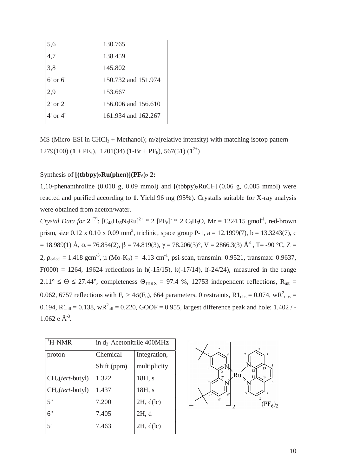| 5,6           | 130.765             |
|---------------|---------------------|
| 4,7           | 138.459             |
| 3,8           | 145.802             |
| $6'$ or $6''$ | 150.732 and 151.974 |
| 2,9           | 153.667             |
| $2'$ or $2"$  | 156,006 and 156.610 |
| $4'$ or $4"$  | 161.934 and 162.267 |

MS (Micro-ESI in CHCl<sub>3</sub> + Methanol); m/z(relative intensity) with matching isotop pattern  $1279(100)$   $(1 + PF_6)$ ,  $1201(34)$   $(1-Br + PF_6)$ ,  $567(51)$   $(1^{2+})$ 

#### Synthesis of  $[(tbbpy)_2Ru(phen)](PF_6)_2$  2:

1,10-phenanthroline (0.018 g, 0.09 mmol) and  $[(tbbpy)_2RuCl_2]$  (0.06 g, 0.085 mmol) were reacted and purified according to **1**. Yield 96 mg (95%). Crystalls suitable for X-ray analysis were obtained from aceton/water.

*Crystal Data for*  $2^{[7]}$ :  $[C_{48}H_{56}N_6Ru]^{2+}$  \* 2  $[PF_6]$ <sup>-</sup> \* 2  $C_3H_6O$ , Mr = 1224.15 gmol<sup>-1</sup>, red-brown prism, size 0.12 x 0.10 x 0.09 mm<sup>3</sup>, triclinic, space group P-1, a = 12.1999(7), b = 13.3243(7), c = 18.989(1) Å, α = 76.854(2), β = 74.819(3), γ = 78.206(3)°, V = 2866.3(3) Å<sup>3</sup>, T= -90 °C, Z = 2,  $\rho_{\text{calcd}} = 1.418 \text{ gcm}^{-3}$ ,  $\mu$  (Mo-K<sub>α</sub>) = 4.13 cm<sup>-1</sup>, psi-scan, transmin: 0.9521, transmax: 0.9637,  $F(000) = 1264$ , 19624 reflections in h( $-15/15$ ), k( $-17/14$ ), l( $-24/24$ ), measured in the range  $2.11^{\circ} \le \Theta \le 27.44^{\circ}$ , completeness  $\Theta_{\text{max}} = 97.4$  %, 12753 independent reflections, R<sub>int</sub> = 0.062, 6757 reflections with  $F_o > 4\sigma(F_o)$ , 664 parameters, 0 restraints, R1<sub>obs</sub> = 0.074, wR<sup>2</sup><sub>obs</sub> = 0.194,  $R1_{all} = 0.138$ ,  $wR^{2}_{all} = 0.220$ , GOOF = 0.955, largest difference peak and hole: 1.402 / - $1.062$  e  $\AA$ <sup>-3</sup>.

| <sup>1</sup> H-NMR | in $d_3$ -Acetonitrile 400MHz |              |  |
|--------------------|-------------------------------|--------------|--|
| proton             | Chemical                      | Integration, |  |
|                    | Shift (ppm)                   | multiplicity |  |
| $CH3(tert-butyl)$  | 1.322                         | 18H, s       |  |
| $CH3(tert-butyl)$  | 1.437                         | 18H, s       |  |
| 5"                 | 7.200                         | 2H, d(lc)    |  |
| 6"                 | 7.405                         | 2H, d        |  |
| 5'                 | 7.463                         | 2H, d(lc)    |  |

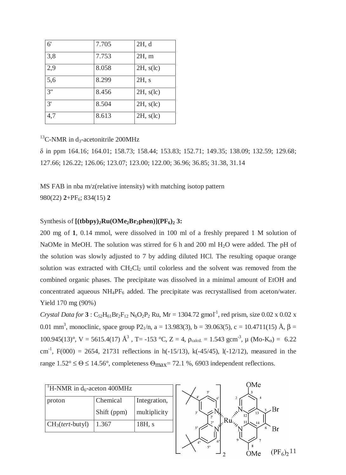| 6'  | 7.705 | 2H, d           |
|-----|-------|-----------------|
| 3,8 | 7.753 | 2H, m           |
| 2,9 | 8.058 | $2H$ , $s(lc)$  |
| 5,6 | 8.299 | 2H, s           |
| 3"  | 8.456 | $2H$ , $s$ (lc) |
| 3'  | 8.504 | $2H$ , $s$ (lc) |
| 4,7 | 8.613 | $2H$ , $s$ (lc) |

 $^{13}$ C-NMR in d<sub>3</sub>-acetonitrile 200MHz

δ in ppm 164.16; 164.01; 158.73; 158.44; 153.83; 152.71; 149.35; 138.09; 132.59; 129.68; 127.66; 126.22; 126.06; 123.07; 123.00; 122.00; 36.96; 36.85; 31.38, 31.14

MS FAB in nba m/z(relative intensity) with matching isotop pattern 980(22) **2**+PF6; 834(15) **2** 

## Synthesis of  $[(tbby)_2Ru(OMe_2Br_2phen)](PF_6)_2$  3:

200 mg of **1**, 0.14 mmol, were dissolved in 100 ml of a freshly prepared 1 M solution of NaOMe in MeOH. The solution was stirred for 6 h and 200 ml H<sub>2</sub>O were added. The pH of the solution was slowly adjusted to 7 by adding diluted HCl. The resulting opaque orange solution was extracted with  $CH_2Cl_2$  until colorless and the solvent was removed from the combined organic phases. The precipitate was dissolved in a minimal amount of EtOH and concentrated aqueous  $NH_4PF_6$  added. The precipitate was recrystallised from aceton/water. Yield 170 mg (90%)

*Crystal Data for* **3** :  $C_{52}H_{61}Br_2F_{12} N_6O_2P_2$  Ru, Mr = 1304.72 gmol<sup>-1</sup>, red prism, size 0.02 x 0.02 x 0.01 mm<sup>3</sup>, monoclinic, space group P2<sub>1</sub>/n, a = 13.983(3), b = 39.063(5), c = 10.4711(15) Å, β = 100.945(13)°, V = 5615.4(17)  $\mathring{A}^3$ , T= -153 °C, Z = 4, ρ<sub>calcd.</sub> = 1.543 gcm<sup>-3</sup>, μ (Mo-K<sub>α</sub>) = 6.22 cm<sup>-1</sup>, F(000) = 2654, 21731 reflections in h(-15/13), k(-45/45), l(-12/12), measured in the range  $1.52^{\circ} \le \Theta \le 14.56^{\circ}$ , completeness  $\Theta_{\text{max}} = 72.1$  %, 6903 independent reflections.

| <sup>1</sup> H-NMR in $d_6$ -aceton 400MHz |             |              |  |
|--------------------------------------------|-------------|--------------|--|
| proton                                     | Chemical    | Integration, |  |
|                                            | Shift (ppm) | multiplicity |  |
| $CH3(tert-butyl)$                          | 1.367       | 18H, s       |  |